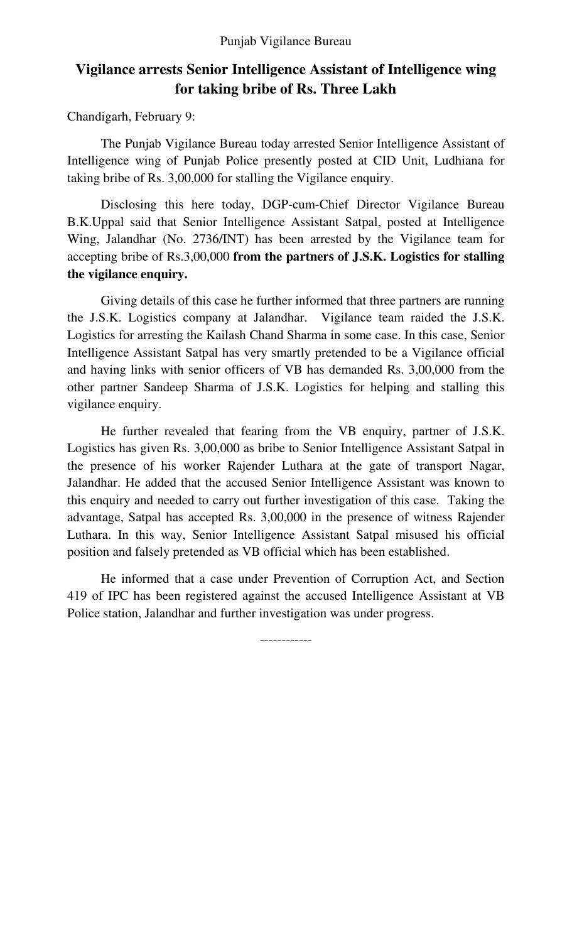## **Vigilance arrests Senior Intelligence Assistant of Intelligence wing for taking bribe of Rs. Three Lakh**

Chandigarh, February 9:

The Punjab Vigilance Bureau today arrested Senior Intelligence Assistant of Intelligence wing of Punjab Police presently posted at CID Unit, Ludhiana for taking bribe of Rs. 3,00,000 for stalling the Vigilance enquiry.

Disclosing this here today, DGP-cum-Chief Director Vigilance Bureau B.K.Uppal said that Senior Intelligence Assistant Satpal, posted at Intelligence Wing, Jalandhar (No. 2736/INT) has been arrested by the Vigilance team for accepting bribe of Rs.3,00,000 **from the partners of J.S.K. Logistics for stalling the vigilance enquiry.** 

 Giving details of this case he further informed that three partners are running the J.S.K. Logistics company at Jalandhar. Vigilance team raided the J.S.K. Logistics for arresting the Kailash Chand Sharma in some case. In this case, Senior Intelligence Assistant Satpal has very smartly pretended to be a Vigilance official and having links with senior officers of VB has demanded Rs. 3,00,000 from the other partner Sandeep Sharma of J.S.K. Logistics for helping and stalling this vigilance enquiry.

He further revealed that fearing from the VB enquiry, partner of J.S.K. Logistics has given Rs. 3,00,000 as bribe to Senior Intelligence Assistant Satpal in the presence of his worker Rajender Luthara at the gate of transport Nagar, Jalandhar. He added that the accused Senior Intelligence Assistant was known to this enquiry and needed to carry out further investigation of this case. Taking the advantage, Satpal has accepted Rs. 3,00,000 in the presence of witness Rajender Luthara. In this way, Senior Intelligence Assistant Satpal misused his official position and falsely pretended as VB official which has been established.

He informed that a case under Prevention of Corruption Act, and Section 419 of IPC has been registered against the accused Intelligence Assistant at VB Police station, Jalandhar and further investigation was under progress.

------------